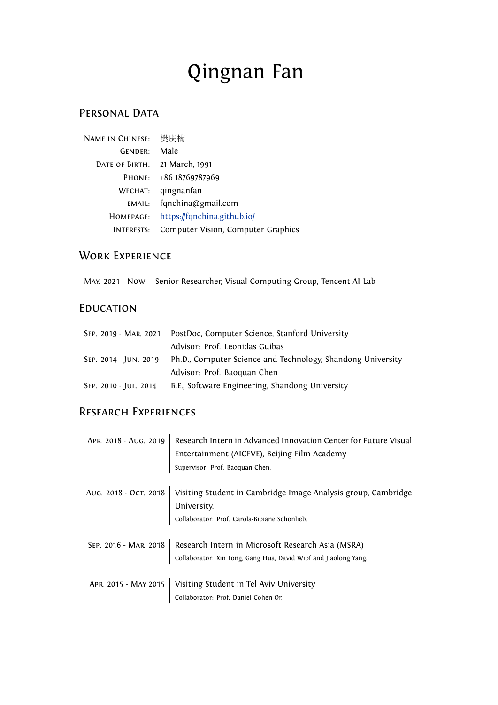# Qingnan Fan

### PERSONAL DATA

| <b>NAME IN CHINESE:</b> | 樊庆楠                                |
|-------------------------|------------------------------------|
| GENDER:                 | Male                               |
| DATE OF BIRTH:          | 21 March, 1991                     |
| PHONE:                  | +86 18769787969                    |
| WECHAT:                 | qingnanfan                         |
| EMAIL:                  | fqnchina@gmail.com                 |
| HOMEPAGE:               | https://fqnchina.github.io/        |
| <b>INTERESTS:</b>       | Computer Vision, Computer Graphics |

## WORK EXPERIENCE

May. 2021 - Now Senior Researcher, Visual Computing Group, Tencent AI Lab

## **EDUCATION**

| SEP. 2019 - MAR. 2021 | PostDoc, Computer Science, Stanford University              |
|-----------------------|-------------------------------------------------------------|
|                       | Advisor: Prof. Leonidas Guibas                              |
| SEP. 2014 - JUN. 2019 | Ph.D., Computer Science and Technology, Shandong University |
|                       | Advisor: Prof. Baoquan Chen                                 |
| SEP. 2010 - JUL. 2014 | B.E., Software Engineering, Shandong University             |

# Research Experiences

| APR. 2018 - AUG. 2019 | Research Intern in Advanced Innovation Center for Future Visual<br>Entertainment (AICFVE), Beijing Film Academy      |
|-----------------------|----------------------------------------------------------------------------------------------------------------------|
|                       | Supervisor: Prof. Baoquan Chen.                                                                                      |
| AUG. 2018 - OCT. 2018 | Visiting Student in Cambridge Image Analysis group, Cambridge<br>University.                                         |
|                       | Collaborator: Prof. Carola-Bibiane Schönlieb.                                                                        |
| SEP. 2016 - MAR. 2018 | Research Intern in Microsoft Research Asia (MSRA)<br>Collaborator: Xin Tong, Gang Hua, David Wipf and Jiaolong Yang. |
| APR. 2015 - MAY 2015  | Visiting Student in Tel Aviv University<br>Collaborator: Prof. Daniel Cohen-Or.                                      |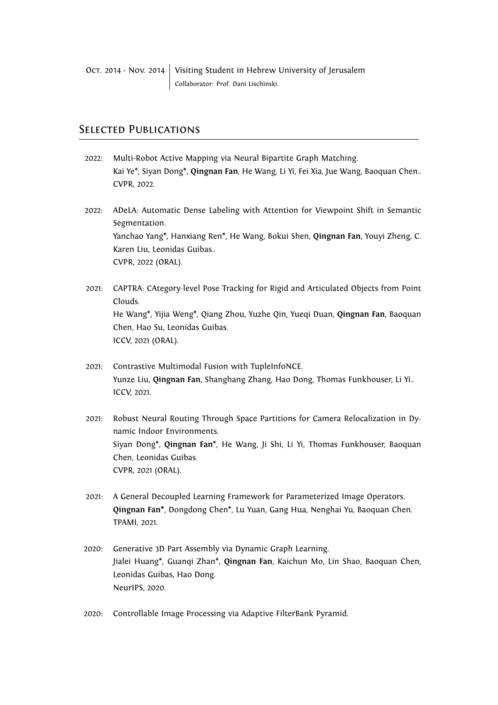#### Selected Publications

- 2022: Multi-Robot Active Mapping via Neural Bipartite Graph Matching. Kai Ye\*, Siyan Dong\*, **Qingnan Fan**, He Wang, Li Yi, Fei Xia, Jue Wang, Baoquan Chen.. CVPR, 2022.
- 2022: ADeLA: Automatic Dense Labeling with Attention for Viewpoint Shift in Semantic Segmentation. Yanchao Yang\*, Hanxiang Ren\*, He Wang, Bokui Shen, **Qingnan Fan**, Youyi Zheng, C. Karen Liu, Leonidas Guibas.. CVPR, 2022 (ORAL).
- 2021: CAPTRA: CAtegory-level Pose Tracking for Rigid and Articulated Objects from Point Clouds. He Wang\*, Yijia Weng\*, Qiang Zhou, Yuzhe Qin, Yueqi Duan, **Qingnan Fan**, Baoquan Chen, Hao Su, Leonidas Guibas. ICCV, 2021 (ORAL).
- 2021: Contrastive Multimodal Fusion with TupleInfoNCE. Yunze Liu, **Qingnan Fan**, Shanghang Zhang, Hao Dong, Thomas Funkhouser, Li Yi.. ICCV, 2021.
- 2021: Robust Neural Routing Through Space Partitions for Camera Relocalization in Dynamic Indoor Environments. Siyan Dong\*, **Qingnan Fan**\*, He Wang, Ji Shi, Li Yi, Thomas Funkhouser, Baoquan Chen, Leonidas Guibas. CVPR, 2021 (ORAL).
- 2021: A General Decoupled Learning Framework for Parameterized Image Operators. **Qingnan Fan\***, Dongdong Chen\*, Lu Yuan, Gang Hua, Nenghai Yu, Baoquan Chen. TPAMI, 2021.
- 2020: Generative 3D Part Assembly via Dynamic Graph Learning. Jialei Huang\*, Guanqi Zhan\*, **Qingnan Fan**, Kaichun Mo, Lin Shao, Baoquan Chen, Leonidas Guibas, Hao Dong. NeurIPS, 2020.
- 2020: Controllable Image Processing via Adaptive FilterBank Pyramid.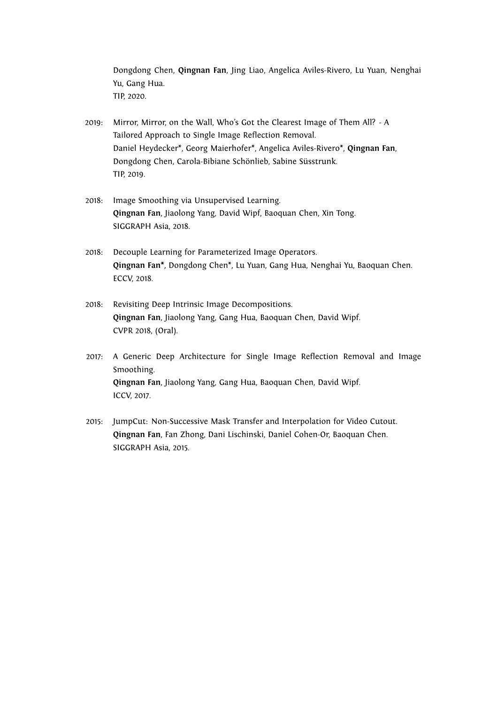Dongdong Chen, **Qingnan Fan**, Jing Liao, Angelica Aviles-Rivero, Lu Yuan, Nenghai Yu, Gang Hua. TIP, 2020.

- 2019: Mirror, Mirror, on the Wall, Who's Got the Clearest Image of Them All? A Tailored Approach to Single Image Reflection Removal. Daniel Heydecker\*, Georg Maierhofer\*, Angelica Aviles-Rivero\*, **Qingnan Fan**, Dongdong Chen, Carola-Bibiane Schönlieb, Sabine Süsstrunk. TIP, 2019.
- 2018: Image Smoothing via Unsupervised Learning. **Qingnan Fan**, Jiaolong Yang, David Wipf, Baoquan Chen, Xin Tong. SIGGRAPH Asia, 2018.
- 2018: Decouple Learning for Parameterized Image Operators. **Qingnan Fan\***, Dongdong Chen\*, Lu Yuan, Gang Hua, Nenghai Yu, Baoquan Chen. ECCV, 2018.
- 2018: Revisiting Deep Intrinsic Image Decompositions. **Qingnan Fan**, Jiaolong Yang, Gang Hua, Baoquan Chen, David Wipf. CVPR 2018, (Oral).
- 2017: A Generic Deep Architecture for Single Image Reflection Removal and Image Smoothing. **Qingnan Fan**, Jiaolong Yang, Gang Hua, Baoquan Chen, David Wipf. ICCV, 2017.
- 2015: JumpCut: Non-Successive Mask Transfer and Interpolation for Video Cutout. **Qingnan Fan**, Fan Zhong, Dani Lischinski, Daniel Cohen-Or, Baoquan Chen. SIGGRAPH Asia, 2015.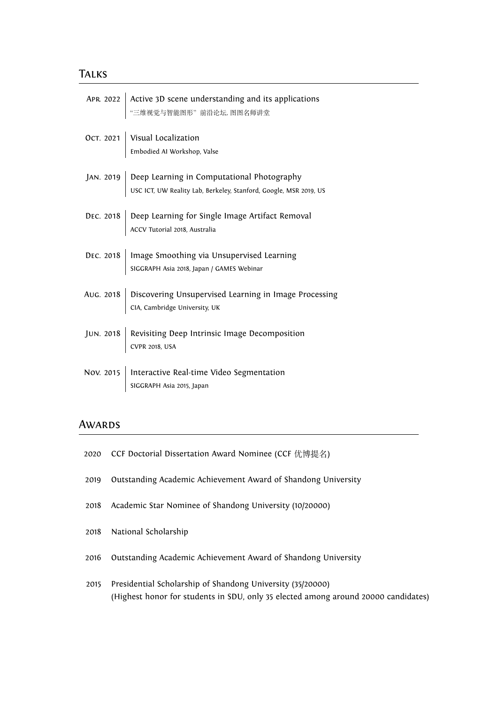#### **TALKS**

| APR 2022 Active 3D scene understanding and its applications<br>"三维视觉与智能图形"前沿论坛, 图图名师讲堂                                    |
|---------------------------------------------------------------------------------------------------------------------------|
| OCT. 2021 Visual Localization<br>Embodied AI Workshop, Valse                                                              |
| JAN. 2019 Deep Learning in Computational Photography<br>USC ICT, UW Reality Lab, Berkeley, Stanford, Google, MSR 2019, US |
| DEC. 2018 Deep Learning for Single Image Artifact Removal<br>ACCV Tutorial 2018, Australia                                |
| DEC. 2018   Image Smoothing via Unsupervised Learning<br>SIGGRAPH Asia 2018, Japan / GAMES Webinar                        |
| AUG. 2018 Discovering Unsupervised Learning in Image Processing<br>CIA, Cambridge University, UK                          |
| JUN. 2018 Revisiting Deep Intrinsic Image Decomposition<br>CVPR 2018, USA                                                 |
| Nov. 2015   Interactive Real-time Video Segmentation<br>$\vert$ SIGGRAPH Asia 2015, Japan                                 |

#### **AWARDS**

- 2020 CCF Doctorial Dissertation Award Nominee (CCF 优博提名)
- 2019 Outstanding Academic Achievement Award of Shandong University
- 2018 Academic Star Nominee of Shandong University (10/20000)
- 2018 National Scholarship
- 2016 Outstanding Academic Achievement Award of Shandong University
- 2015 Presidential Scholarship of Shandong University (35/20000) (Highest honor for students in SDU, only 35 elected among around 20000 candidates)